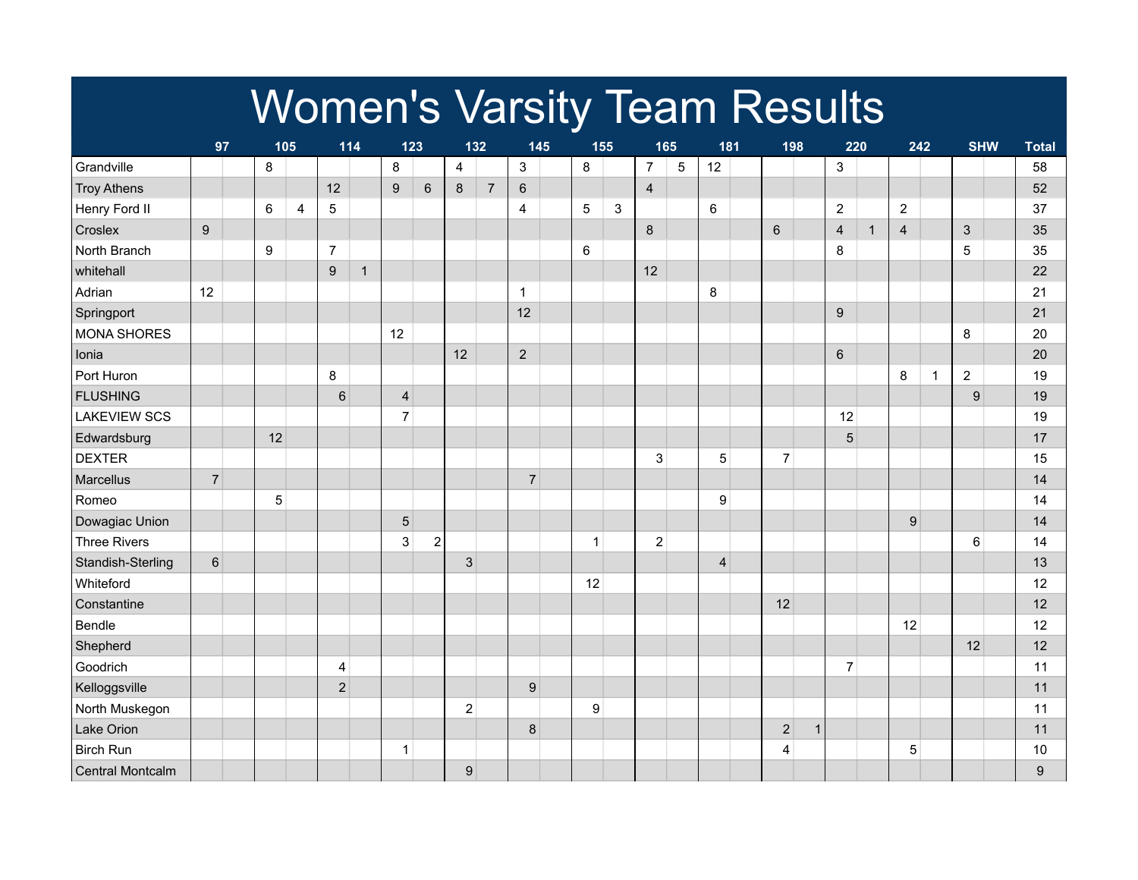|                     |                |  |    |     |                |              |                |                |                | <b>Women's Varsity Team Results</b> |                  |   |              |   |                |     |                |  |                                |                |              |                |     |                |              |
|---------------------|----------------|--|----|-----|----------------|--------------|----------------|----------------|----------------|-------------------------------------|------------------|---|--------------|---|----------------|-----|----------------|--|--------------------------------|----------------|--------------|----------------|-----|----------------|--------------|
|                     | 97             |  |    | 105 |                | 114          | 123            |                |                | 132                                 | 145              |   | 155          |   |                | 165 | 181            |  | 198                            |                | 220          |                | 242 | <b>SHW</b>     | <b>Total</b> |
| Grandville          |                |  | 8  |     |                |              | 8              |                | 4              |                                     | 3                | 8 |              |   | $\overline{7}$ | 5   | 12             |  |                                | 3              |              |                |     |                | 58           |
| <b>Troy Athens</b>  |                |  |    |     | 12             |              | 9              | 6              | 8              | $\overline{7}$                      | 6                |   |              |   | $\overline{4}$ |     |                |  |                                |                |              |                |     |                | 52           |
| Henry Ford II       |                |  | 6  | 4   | 5              |              |                |                |                |                                     | 4                |   | 5            | 3 |                |     | 6              |  |                                | $\overline{2}$ |              | $\overline{2}$ |     |                | 37           |
| Croslex             | 9              |  |    |     |                |              |                |                |                |                                     |                  |   |              |   | 8              |     |                |  | $6\phantom{1}$                 | $\overline{4}$ | $\mathbf{1}$ | $\overline{4}$ |     | 3              | 35           |
| North Branch        |                |  | 9  |     | $\overline{7}$ |              |                |                |                |                                     |                  |   | 6            |   |                |     |                |  |                                | 8              |              |                |     | 5              | 35           |
| whitehall           |                |  |    |     | 9              | $\mathbf{1}$ |                |                |                |                                     |                  |   |              |   | 12             |     |                |  |                                |                |              |                |     |                | 22           |
| Adrian              | 12             |  |    |     |                |              |                |                |                |                                     | $\mathbf{1}$     |   |              |   |                |     | 8              |  |                                |                |              |                |     |                | 21           |
| Springport          |                |  |    |     |                |              |                |                |                |                                     | 12               |   |              |   |                |     |                |  |                                | 9              |              |                |     |                | 21           |
| <b>MONA SHORES</b>  |                |  |    |     |                |              | 12             |                |                |                                     |                  |   |              |   |                |     |                |  |                                |                |              |                |     | 8              | 20           |
| Ionia               |                |  |    |     |                |              |                |                | 12             |                                     | $\overline{2}$   |   |              |   |                |     |                |  |                                | $6\phantom{1}$ |              |                |     |                | 20           |
| Port Huron          |                |  |    |     | 8              |              |                |                |                |                                     |                  |   |              |   |                |     |                |  |                                |                |              | 8              | 1   | $\overline{2}$ | 19           |
| <b>FLUSHING</b>     |                |  |    |     | $6\phantom{1}$ |              | $\overline{4}$ |                |                |                                     |                  |   |              |   |                |     |                |  |                                |                |              |                |     | 9              | 19           |
| <b>LAKEVIEW SCS</b> |                |  |    |     |                |              | $\overline{7}$ |                |                |                                     |                  |   |              |   |                |     |                |  |                                | 12             |              |                |     |                | 19           |
| Edwardsburg         |                |  | 12 |     |                |              |                |                |                |                                     |                  |   |              |   |                |     |                |  |                                | 5              |              |                |     |                | 17           |
| <b>DEXTER</b>       |                |  |    |     |                |              |                |                |                |                                     |                  |   |              |   | 3              |     | 5              |  | $\overline{7}$                 |                |              |                |     |                | 15           |
| Marcellus           | $\overline{7}$ |  |    |     |                |              |                |                |                |                                     | $\overline{7}$   |   |              |   |                |     |                |  |                                |                |              |                |     |                | 14           |
| Romeo               |                |  | 5  |     |                |              |                |                |                |                                     |                  |   |              |   |                |     | 9              |  |                                |                |              |                |     |                | 14           |
| Dowagiac Union      |                |  |    |     |                |              | 5              |                |                |                                     |                  |   |              |   |                |     |                |  |                                |                |              | 9              |     |                | 14           |
| <b>Three Rivers</b> |                |  |    |     |                |              | 3              | $\overline{2}$ |                |                                     |                  |   | $\mathbf{1}$ |   | 2              |     |                |  |                                |                |              |                |     | 6              | 14           |
| Standish-Sterling   | 6              |  |    |     |                |              |                |                | 3              |                                     |                  |   |              |   |                |     | $\overline{4}$ |  |                                |                |              |                |     |                | 13           |
| Whiteford           |                |  |    |     |                |              |                |                |                |                                     |                  |   | 12           |   |                |     |                |  |                                |                |              |                |     |                | 12           |
| Constantine         |                |  |    |     |                |              |                |                |                |                                     |                  |   |              |   |                |     |                |  | 12                             |                |              |                |     |                | 12           |
| Bendle              |                |  |    |     |                |              |                |                |                |                                     |                  |   |              |   |                |     |                |  |                                |                |              | 12             |     |                | 12           |
| Shepherd            |                |  |    |     |                |              |                |                |                |                                     |                  |   |              |   |                |     |                |  |                                |                |              |                |     | 12             | 12           |
| Goodrich            |                |  |    |     | 4              |              |                |                |                |                                     |                  |   |              |   |                |     |                |  |                                | $\overline{7}$ |              |                |     |                | 11           |
| Kelloggsville       |                |  |    |     | $\overline{2}$ |              |                |                |                |                                     | $\boldsymbol{9}$ |   |              |   |                |     |                |  |                                |                |              |                |     |                | 11           |
| North Muskegon      |                |  |    |     |                |              |                |                | $\overline{c}$ |                                     |                  |   | 9            |   |                |     |                |  |                                |                |              |                |     |                | 11           |
| Lake Orion          |                |  |    |     |                |              |                |                |                |                                     | 8                |   |              |   |                |     |                |  | $\overline{2}$<br>$\mathbf{1}$ |                |              |                |     |                | 11           |
| Birch Run           |                |  |    |     |                |              | $\mathbf 1$    |                |                |                                     |                  |   |              |   |                |     |                |  | 4                              |                |              | 5              |     |                | 10           |
| Central Montcalm    |                |  |    |     |                |              |                |                | 9              |                                     |                  |   |              |   |                |     |                |  |                                |                |              |                |     |                | 9            |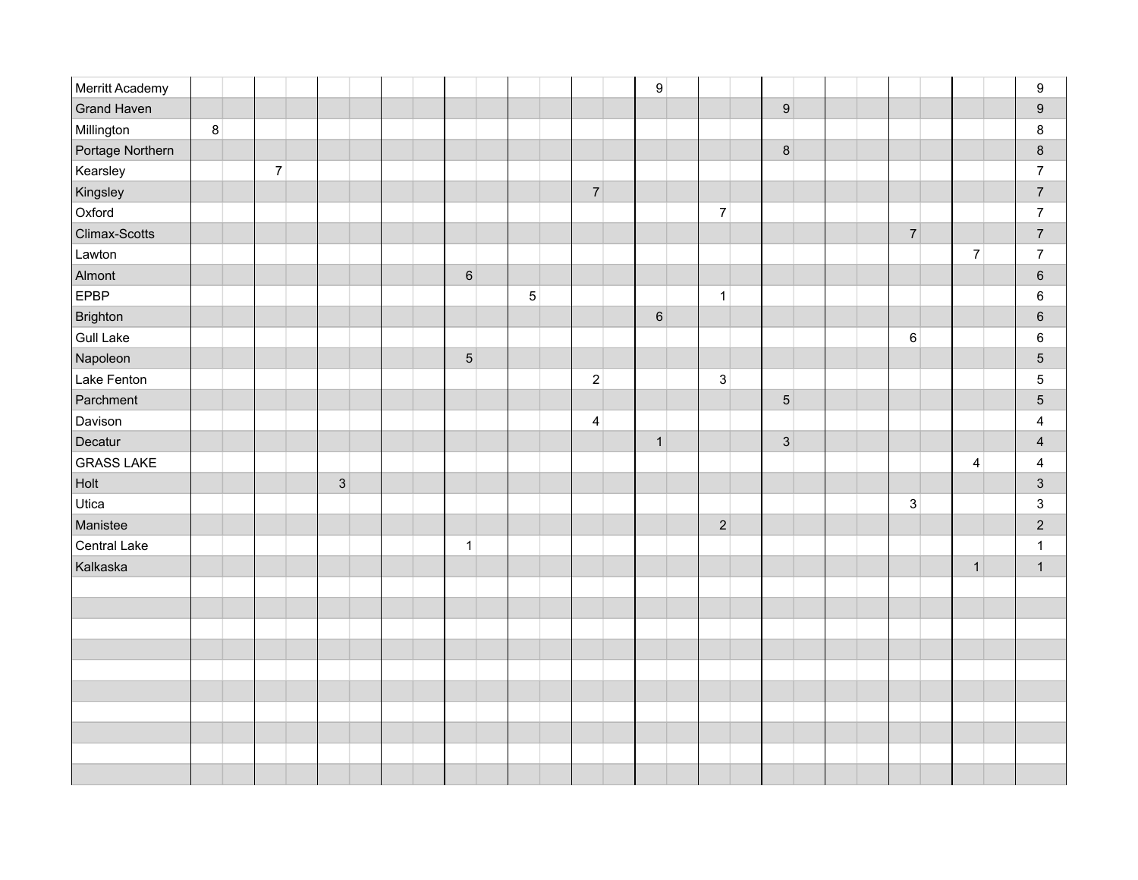| Merritt Academy   |         |                |              |  |                 |                |                         | $\boldsymbol{9}$ |                |                  |  |              |                         | $\boldsymbol{9}$        |
|-------------------|---------|----------------|--------------|--|-----------------|----------------|-------------------------|------------------|----------------|------------------|--|--------------|-------------------------|-------------------------|
| Grand Haven       |         |                |              |  |                 |                |                         |                  |                | $\boldsymbol{9}$ |  |              |                         | $9\,$                   |
| Millington        | $\bf 8$ |                |              |  |                 |                |                         |                  |                |                  |  |              |                         | 8                       |
| Portage Northern  |         |                |              |  |                 |                |                         |                  |                | $\boldsymbol{8}$ |  |              |                         | $8\phantom{1}$          |
| Kearsley          |         | $\overline{7}$ |              |  |                 |                |                         |                  |                |                  |  |              |                         | $\overline{7}$          |
| Kingsley          |         |                |              |  |                 |                | $\sqrt{7}$              |                  |                |                  |  |              |                         | $\overline{7}$          |
| Oxford            |         |                |              |  |                 |                |                         |                  | $\overline{7}$ |                  |  |              |                         | $\overline{7}$          |
| Climax-Scotts     |         |                |              |  |                 |                |                         |                  |                |                  |  | $\sqrt{7}$   |                         | $\overline{7}$          |
| Lawton            |         |                |              |  |                 |                |                         |                  |                |                  |  |              | $\overline{7}$          | $\overline{7}$          |
| Almont            |         |                |              |  | $\,6\,$         |                |                         |                  |                |                  |  |              |                         | $\,6\,$                 |
| <b>EPBP</b>       |         |                |              |  |                 | $\overline{5}$ |                         |                  | $\mathbf{1}$   |                  |  |              |                         | 6                       |
| Brighton          |         |                |              |  |                 |                |                         | $\,6\,$          |                |                  |  |              |                         | $6\phantom{1}$          |
| Gull Lake         |         |                |              |  |                 |                |                         |                  |                |                  |  | $\,6\,$      |                         | $\,6\,$                 |
| Napoleon          |         |                |              |  | $5\phantom{.0}$ |                |                         |                  |                |                  |  |              |                         | 5                       |
| Lake Fenton       |         |                |              |  |                 |                | $\sqrt{2}$              |                  | $\mathsf 3$    |                  |  |              |                         | 5                       |
| Parchment         |         |                |              |  |                 |                |                         |                  |                | $\sqrt{5}$       |  |              |                         | 5                       |
| Davison           |         |                |              |  |                 |                | $\overline{\mathbf{4}}$ |                  |                |                  |  |              |                         | 4                       |
| Decatur           |         |                |              |  |                 |                |                         | $\mathbf{1}$     |                | $\mathbf{3}$     |  |              |                         | $\overline{\mathbf{4}}$ |
| <b>GRASS LAKE</b> |         |                |              |  |                 |                |                         |                  |                |                  |  |              | $\overline{\mathbf{4}}$ | 4                       |
| Holt              |         |                | $\mathbf{3}$ |  |                 |                |                         |                  |                |                  |  |              |                         | $\mathbf{3}$            |
| Utica             |         |                |              |  |                 |                |                         |                  |                |                  |  | $\mathbf{3}$ |                         | 3                       |
| Manistee          |         |                |              |  |                 |                |                         |                  | $\sqrt{2}$     |                  |  |              |                         | $\overline{2}$          |
| Central Lake      |         |                |              |  | $\mathbf 1$     |                |                         |                  |                |                  |  |              |                         | $\mathbf{1}$            |
| Kalkaska          |         |                |              |  |                 |                |                         |                  |                |                  |  |              | $\mathbf{1}$            | $\mathbf{1}$            |
|                   |         |                |              |  |                 |                |                         |                  |                |                  |  |              |                         |                         |
|                   |         |                |              |  |                 |                |                         |                  |                |                  |  |              |                         |                         |
|                   |         |                |              |  |                 |                |                         |                  |                |                  |  |              |                         |                         |
|                   |         |                |              |  |                 |                |                         |                  |                |                  |  |              |                         |                         |
|                   |         |                |              |  |                 |                |                         |                  |                |                  |  |              |                         |                         |
|                   |         |                |              |  |                 |                |                         |                  |                |                  |  |              |                         |                         |
|                   |         |                |              |  |                 |                |                         |                  |                |                  |  |              |                         |                         |
|                   |         |                |              |  |                 |                |                         |                  |                |                  |  |              |                         |                         |
|                   |         |                |              |  |                 |                |                         |                  |                |                  |  |              |                         |                         |
|                   |         |                |              |  |                 |                |                         |                  |                |                  |  |              |                         |                         |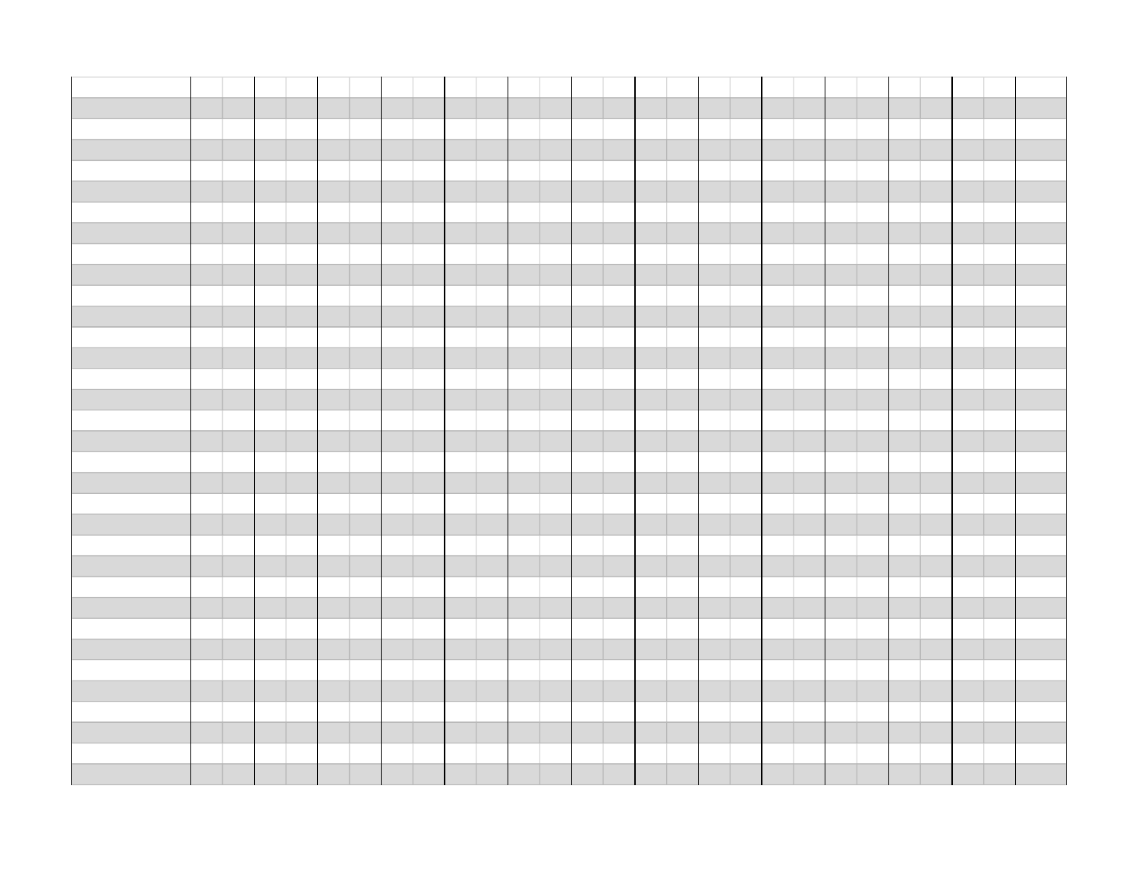| $\blacklozenge$<br>a a Tingga<br>$\mathbb{R}^n$ |
|-------------------------------------------------|
|                                                 |
|                                                 |
|                                                 |
|                                                 |
|                                                 |
|                                                 |
|                                                 |
|                                                 |
|                                                 |
|                                                 |
|                                                 |
|                                                 |
|                                                 |
|                                                 |
|                                                 |
|                                                 |
|                                                 |
|                                                 |
|                                                 |
|                                                 |
|                                                 |
|                                                 |
|                                                 |
|                                                 |
|                                                 |
|                                                 |
|                                                 |
|                                                 |
|                                                 |
|                                                 |
|                                                 |
|                                                 |
|                                                 |
|                                                 |
|                                                 |
|                                                 |
|                                                 |
|                                                 |
|                                                 |
|                                                 |
|                                                 |
|                                                 |
|                                                 |
|                                                 |
|                                                 |
|                                                 |
|                                                 |
|                                                 |
|                                                 |
|                                                 |